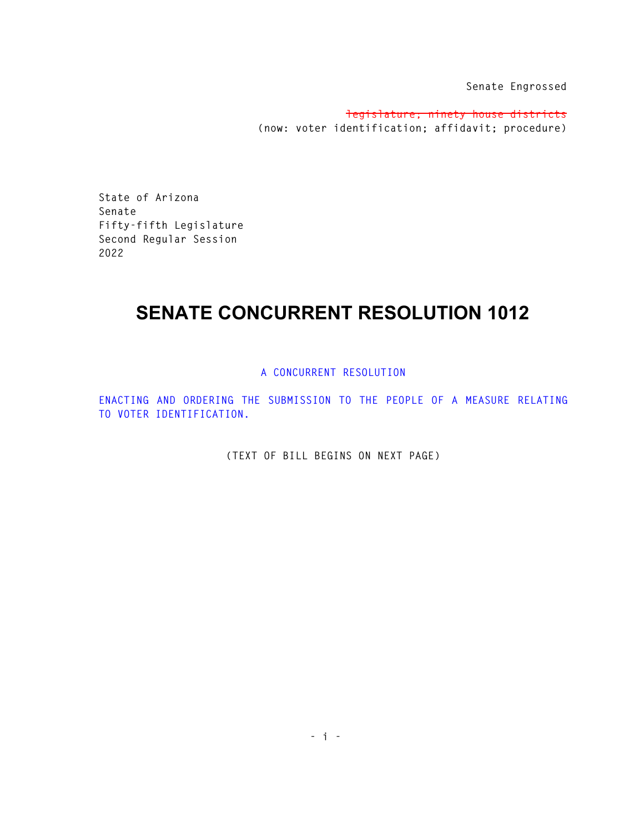**Senate Engrossed** 

**legislature; ninety house districts (now: voter identification; affidavit; procedure)** 

**State of Arizona Senate Fifty-fifth Legislature Second Regular Session 2022** 

## **SENATE CONCURRENT RESOLUTION 1012**

## **A CONCURRENT RESOLUTION**

**ENACTING AND ORDERING THE SUBMISSION TO THE PEOPLE OF A MEASURE RELATING TO VOTER IDENTIFICATION.** 

**(TEXT OF BILL BEGINS ON NEXT PAGE)**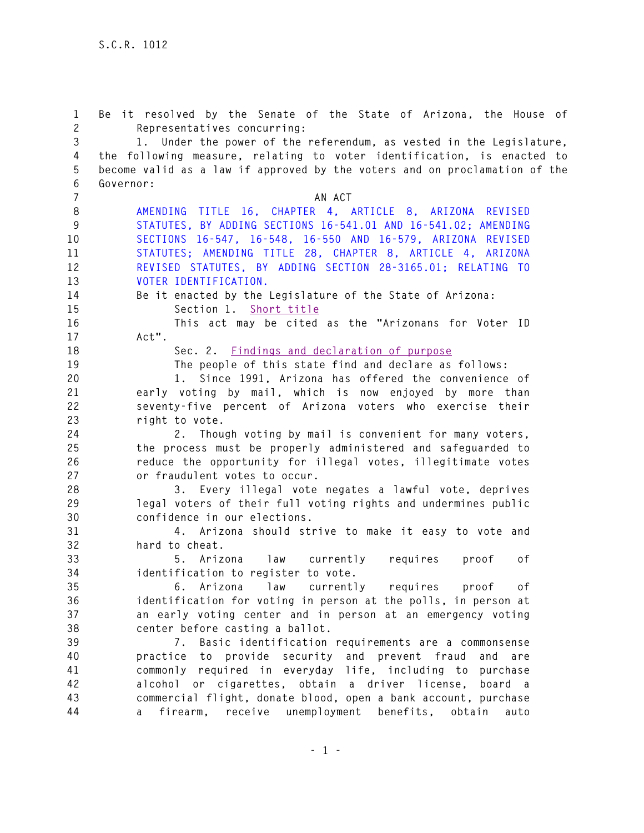**1 Be it resolved by the Senate of the State of Arizona, the House of 2 Representatives concurring: 3 1. Under the power of the referendum, as vested in the Legislature, 4 the following measure, relating to voter identification, is enacted to 5 become valid as a law if approved by the voters and on proclamation of the 6 Governor: 7** AN ACT **8 AMENDING TITLE 16, CHAPTER 4, ARTICLE 8, ARIZONA REVISED 9 STATUTES, BY ADDING SECTIONS 16-541.01 AND 16-541.02; AMENDING 10 SECTIONS 16-547, 16-548, 16-550 AND 16-579, ARIZONA REVISED 11 STATUTES; AMENDING TITLE 28, CHAPTER 8, ARTICLE 4, ARIZONA 12 REVISED STATUTES, BY ADDING SECTION 28-3165.01; RELATING TO 13 VOTER IDENTIFICATION. 14 Be it enacted by the Legislature of the State of Arizona: 15 Section 1. Short title 16 This act may be cited as the "Arizonans for Voter ID 17 Act". 18 Sec. 2. Findings and declaration of purpose 19 The people of this state find and declare as follows: 20 1. Since 1991, Arizona has offered the convenience of 21 early voting by mail, which is now enjoyed by more than 22 seventy-five percent of Arizona voters who exercise their 23 right to vote. 24 2. Though voting by mail is convenient for many voters, 25 the process must be properly administered and safeguarded to 26 reduce the opportunity for illegal votes, illegitimate votes 27 or fraudulent votes to occur. 28 3. Every illegal vote negates a lawful vote, deprives 29 legal voters of their full voting rights and undermines public 30 confidence in our elections. 31 4. Arizona should strive to make it easy to vote and 32 hard to cheat. 33 5. Arizona law currently requires proof of 34 identification to register to vote. 35 6. Arizona law currently requires proof of 36 identification for voting in person at the polls, in person at 37 an early voting center and in person at an emergency voting 38 center before casting a ballot. 39 7. Basic identification requirements are a commonsense 40 practice to provide security and prevent fraud and are 41 commonly required in everyday life, including to purchase 42 alcohol or cigarettes, obtain a driver license, board a 43 commercial flight, donate blood, open a bank account, purchase 44 a firearm, receive unemployment benefits, obtain auto**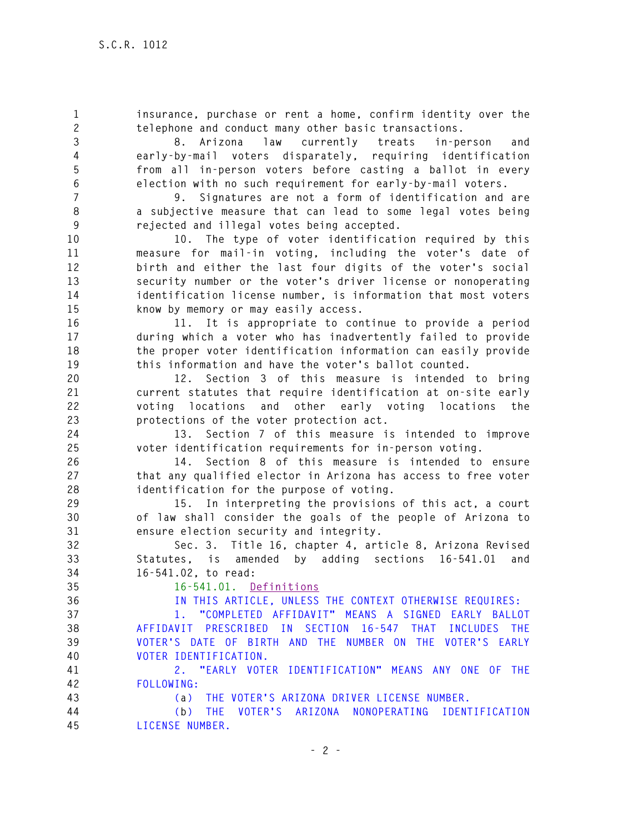**1 insurance, purchase or rent a home, confirm identity over the 2 telephone and conduct many other basic transactions. 3 8. Arizona law currently treats in-person and 4 early-by-mail voters disparately, requiring identification 5 from all in-person voters before casting a ballot in every 6 election with no such requirement for early-by-mail voters. 7 9. Signatures are not a form of identification and are 8 a subjective measure that can lead to some legal votes being 9 rejected and illegal votes being accepted. 10 10. The type of voter identification required by this 11 measure for mail-in voting, including the voter's date of 12 birth and either the last four digits of the voter's social 13 security number or the voter's driver license or nonoperating 14 identification license number, is information that most voters 15 know by memory or may easily access. 16 11. It is appropriate to continue to provide a period 17 during which a voter who has inadvertently failed to provide 18 the proper voter identification information can easily provide 19 this information and have the voter's ballot counted. 20 12. Section 3 of this measure is intended to bring 21 current statutes that require identification at on-site early 22 voting locations and other early voting locations the 23 protections of the voter protection act. 24 13. Section 7 of this measure is intended to improve 25 voter identification requirements for in-person voting. 26 14. Section 8 of this measure is intended to ensure 27 that any qualified elector in Arizona has access to free voter 28 identification for the purpose of voting. 29 15. In interpreting the provisions of this act, a court 30 of law shall consider the goals of the people of Arizona to 31 ensure election security and integrity. 32 Sec. 3. Title 16, chapter 4, article 8, Arizona Revised 33 Statutes, is amended by adding sections 16-541.01 and 34 16-541.02, to read: 35 16-541.01. Definitions 36 IN THIS ARTICLE, UNLESS THE CONTEXT OTHERWISE REQUIRES: 37 1. "COMPLETED AFFIDAVIT" MEANS A SIGNED EARLY BALLOT 38 AFFIDAVIT PRESCRIBED IN SECTION 16-547 THAT INCLUDES THE 39 VOTER'S DATE OF BIRTH AND THE NUMBER ON THE VOTER'S EARLY 40 VOTER IDENTIFICATION. 41 2. "EARLY VOTER IDENTIFICATION" MEANS ANY ONE OF THE 42 FOLLOWING: 43 (a) THE VOTER'S ARIZONA DRIVER LICENSE NUMBER. 44 (b) THE VOTER'S ARIZONA NONOPERATING IDENTIFICATION 45 LICENSE NUMBER.**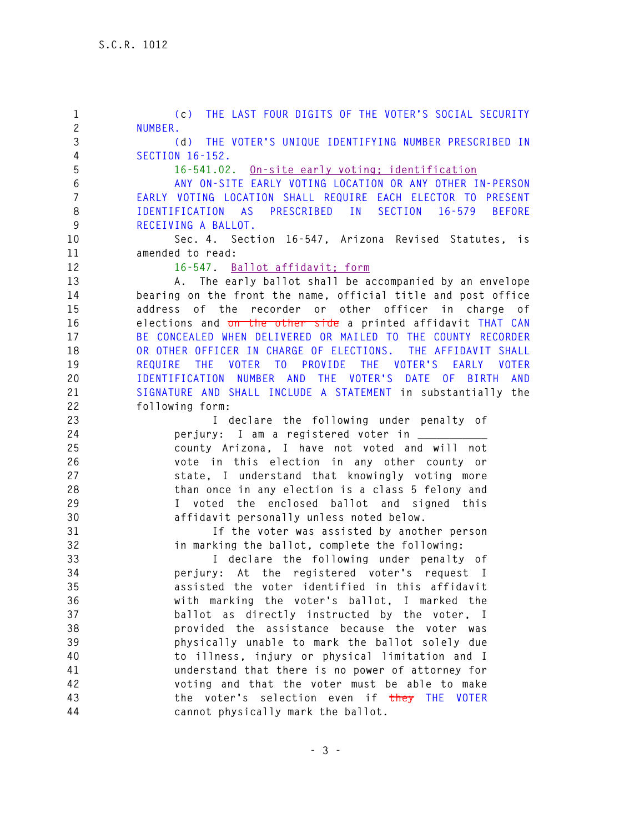**1 (c) THE LAST FOUR DIGITS OF THE VOTER'S SOCIAL SECURITY 2 NUMBER. 3 (d) THE VOTER'S UNIQUE IDENTIFYING NUMBER PRESCRIBED IN 4 SECTION 16-152. 5 16-541.02. On-site early voting; identification 6 ANY ON-SITE EARLY VOTING LOCATION OR ANY OTHER IN-PERSON 7 EARLY VOTING LOCATION SHALL REQUIRE EACH ELECTOR TO PRESENT 8 IDENTIFICATION AS PRESCRIBED IN SECTION 16-579 BEFORE 9 RECEIVING A BALLOT. 10 Sec. 4. Section 16-547, Arizona Revised Statutes, is 11 amended to read: 12 16-547. Ballot affidavit; form 13 A. The early ballot shall be accompanied by an envelope 14 bearing on the front the name, official title and post office 15 address of the recorder or other officer in charge of 16 elections and on the other side a printed affidavit THAT CAN 17 BE CONCEALED WHEN DELIVERED OR MAILED TO THE COUNTY RECORDER 18 OR OTHER OFFICER IN CHARGE OF ELECTIONS. THE AFFIDAVIT SHALL 19 REQUIRE THE VOTER TO PROVIDE THE VOTER'S EARLY VOTER 20 IDENTIFICATION NUMBER AND THE VOTER'S DATE OF BIRTH AND 21 SIGNATURE AND SHALL INCLUDE A STATEMENT in substantially the 22 following form: 23 I declare the following under penalty of 24 perjury: I am a registered voter in \_\_\_\_\_\_\_\_\_\_\_ 25 county Arizona, I have not voted and will not 26 vote in this election in any other county or 27 state, I understand that knowingly voting more 28 than once in any election is a class 5 felony and 29 I voted the enclosed ballot and signed this 30 affidavit personally unless noted below. 31 If the voter was assisted by another person 32 in marking the ballot, complete the following: 33 I declare the following under penalty of 34 perjury: At the registered voter's request I 35 assisted the voter identified in this affidavit 36 with marking the voter's ballot, I marked the 37 ballot as directly instructed by the voter, I 38 provided the assistance because the voter was 39 physically unable to mark the ballot solely due 40 to illness, injury or physical limitation and I 41 understand that there is no power of attorney for 42 voting and that the voter must be able to make 43 the voter's selection even if they THE VOTER 44 cannot physically mark the ballot.**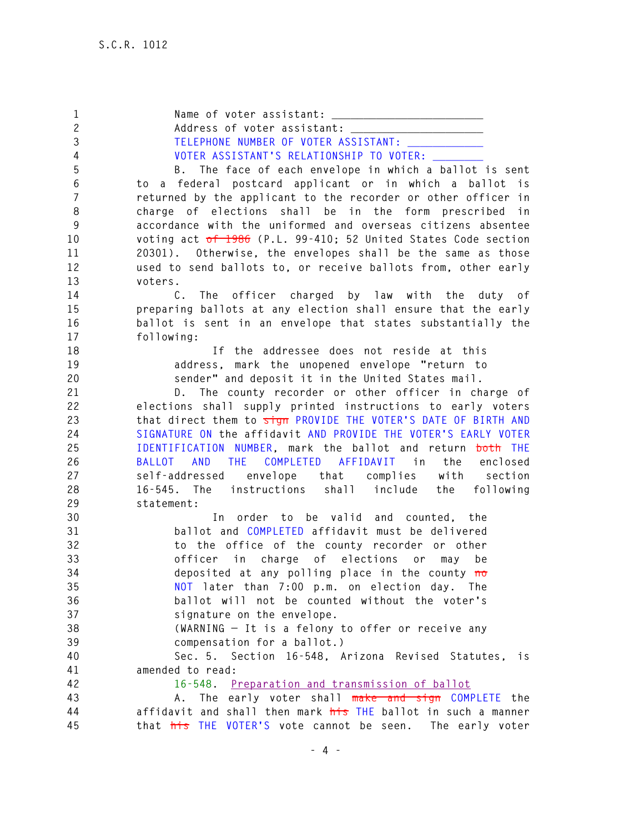1 Name of voter assistant: **2 Address of voter assistant: \_\_\_\_\_\_\_\_\_\_\_\_\_\_\_\_\_\_\_\_\_**  3 TELEPHONE NUMBER OF VOTER ASSISTANT: **4 VOTER ASSISTANT'S RELATIONSHIP TO VOTER: \_\_\_\_\_\_\_\_ 5 B. The face of each envelope in which a ballot is sent 6 to a federal postcard applicant or in which a ballot is 7 returned by the applicant to the recorder or other officer in 8 charge of elections shall be in the form prescribed in 9 accordance with the uniformed and overseas citizens absentee 10 voting act of 1986 (P.L. 99-410; 52 United States Code section 11 20301). Otherwise, the envelopes shall be the same as those 12 used to send ballots to, or receive ballots from, other early 13 voters. 14 C. The officer charged by law with the duty of 15 preparing ballots at any election shall ensure that the early 16 ballot is sent in an envelope that states substantially the 17 following: 18 If the addressee does not reside at this 19 address, mark the unopened envelope "return to 20 sender" and deposit it in the United States mail. 21 D. The county recorder or other officer in charge of 22 elections shall supply printed instructions to early voters 23 that direct them to sign PROVIDE THE VOTER'S DATE OF BIRTH AND 24 SIGNATURE ON the affidavit AND PROVIDE THE VOTER'S EARLY VOTER 25 IDENTIFICATION NUMBER, mark the ballot and return both THE 26 BALLOT AND THE COMPLETED AFFIDAVIT in the enclosed 27 self-addressed envelope that complies with section 28 16-545. The instructions shall include the following 29 statement: 30 In order to be valid and counted, the 31 ballot and COMPLETED affidavit must be delivered 32 to the office of the county recorder or other 33 officer in charge of elections or may be 34 deposited at any polling place in the county no 35 NOT later than 7:00 p.m. on election day. The 36 ballot will not be counted without the voter's 37 signature on the envelope. 38 (WARNING — It is a felony to offer or receive any 39 compensation for a ballot.) 40 Sec. 5. Section 16-548, Arizona Revised Statutes, is 41 amended to read: 42 16-548. Preparation and transmission of ballot 43 A. The early voter shall make and sign COMPLETE the 44 affidavit and shall then mark his THE ballot in such a manner 45 that his THE VOTER'S vote cannot be seen. The early voter**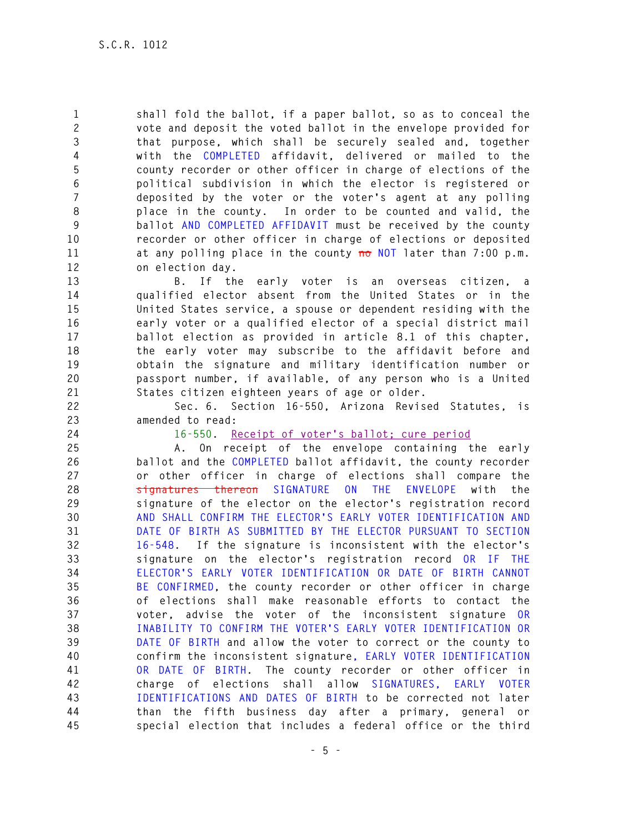**1 shall fold the ballot, if a paper ballot, so as to conceal the 2 vote and deposit the voted ballot in the envelope provided for 3 that purpose, which shall be securely sealed and, together 4 with the COMPLETED affidavit, delivered or mailed to the 5 county recorder or other officer in charge of elections of the 6 political subdivision in which the elector is registered or 7 deposited by the voter or the voter's agent at any polling 8 place in the county. In order to be counted and valid, the 9 ballot AND COMPLETED AFFIDAVIT must be received by the county 10 recorder or other officer in charge of elections or deposited 11 at any polling place in the county no NOT later than 7:00 p.m. 12 on election day.** 

**13 B. If the early voter is an overseas citizen, a 14 qualified elector absent from the United States or in the 15 United States service, a spouse or dependent residing with the 16 early voter or a qualified elector of a special district mail 17 ballot election as provided in article 8.1 of this chapter, 18 the early voter may subscribe to the affidavit before and 19 obtain the signature and military identification number or 20 passport number, if available, of any person who is a United 21 States citizen eighteen years of age or older.** 

**22 Sec. 6. Section 16-550, Arizona Revised Statutes, is 23 amended to read:** 

**24 16-550. Receipt of voter's ballot; cure period**

**25 A. On receipt of the envelope containing the early 26 ballot and the COMPLETED ballot affidavit, the county recorder 27 or other officer in charge of elections shall compare the 28 signatures thereon SIGNATURE ON THE ENVELOPE with the 29 signature of the elector on the elector's registration record 30 AND SHALL CONFIRM THE ELECTOR'S EARLY VOTER IDENTIFICATION AND 31 DATE OF BIRTH AS SUBMITTED BY THE ELECTOR PURSUANT TO SECTION 32 16-548. If the signature is inconsistent with the elector's 33 signature on the elector's registration record OR IF THE 34 ELECTOR'S EARLY VOTER IDENTIFICATION OR DATE OF BIRTH CANNOT 35 BE CONFIRMED, the county recorder or other officer in charge 36 of elections shall make reasonable efforts to contact the 37 voter, advise the voter of the inconsistent signature OR 38 INABILITY TO CONFIRM THE VOTER'S EARLY VOTER IDENTIFICATION OR 39 DATE OF BIRTH and allow the voter to correct or the county to 40 confirm the inconsistent signature, EARLY VOTER IDENTIFICATION 41 OR DATE OF BIRTH. The county recorder or other officer in 42 charge of elections shall allow SIGNATURES, EARLY VOTER 43 IDENTIFICATIONS AND DATES OF BIRTH to be corrected not later 44 than the fifth business day after a primary, general or 45 special election that includes a federal office or the third**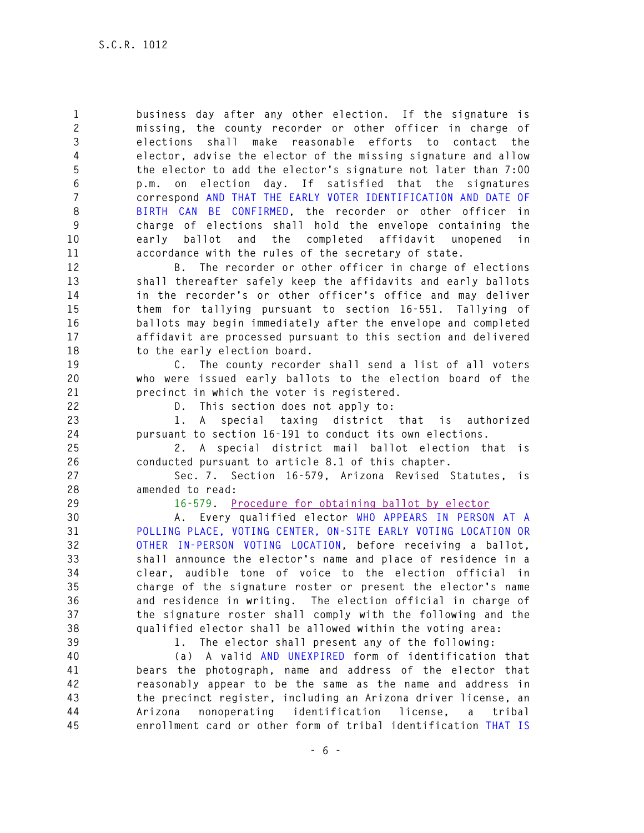**1 business day after any other election. If the signature is 2 missing, the county recorder or other officer in charge of 3 elections shall make reasonable efforts to contact the 4 elector, advise the elector of the missing signature and allow 5 the elector to add the elector's signature not later than 7:00 6 p.m. on election day. If satisfied that the signatures 7 correspond AND THAT THE EARLY VOTER IDENTIFICATION AND DATE OF 8 BIRTH CAN BE CONFIRMED, the recorder or other officer in 9 charge of elections shall hold the envelope containing the 10 early ballot and the completed affidavit unopened in 11 accordance with the rules of the secretary of state. 12 B. The recorder or other officer in charge of elections 13 shall thereafter safely keep the affidavits and early ballots 14 in the recorder's or other officer's office and may deliver 15 them for tallying pursuant to section 16-551. Tallying of 16 ballots may begin immediately after the envelope and completed 17 affidavit are processed pursuant to this section and delivered 18 to the early election board. 19 C. The county recorder shall send a list of all voters** 

**20 who were issued early ballots to the election board of the 21 precinct in which the voter is registered.** 

**22 D. This section does not apply to:** 

**23 1. A special taxing district that is authorized 24 pursuant to section 16-191 to conduct its own elections.** 

**25 2. A special district mail ballot election that is 26 conducted pursuant to article 8.1 of this chapter.** 

**27 Sec. 7. Section 16-579, Arizona Revised Statutes, is 28 amended to read:** 

**29 16-579. Procedure for obtaining ballot by elector**

**30 A. Every qualified elector WHO APPEARS IN PERSON AT A 31 POLLING PLACE, VOTING CENTER, ON-SITE EARLY VOTING LOCATION OR 32 OTHER IN-PERSON VOTING LOCATION, before receiving a ballot, 33 shall announce the elector's name and place of residence in a 34 clear, audible tone of voice to the election official in 35 charge of the signature roster or present the elector's name 36 and residence in writing. The election official in charge of 37 the signature roster shall comply with the following and the 38 qualified elector shall be allowed within the voting area:** 

**39 1. The elector shall present any of the following:** 

**40 (a) A valid AND UNEXPIRED form of identification that 41 bears the photograph, name and address of the elector that 42 reasonably appear to be the same as the name and address in 43 the precinct register, including an Arizona driver license, an 44 Arizona nonoperating identification license, a tribal 45 enrollment card or other form of tribal identification THAT IS**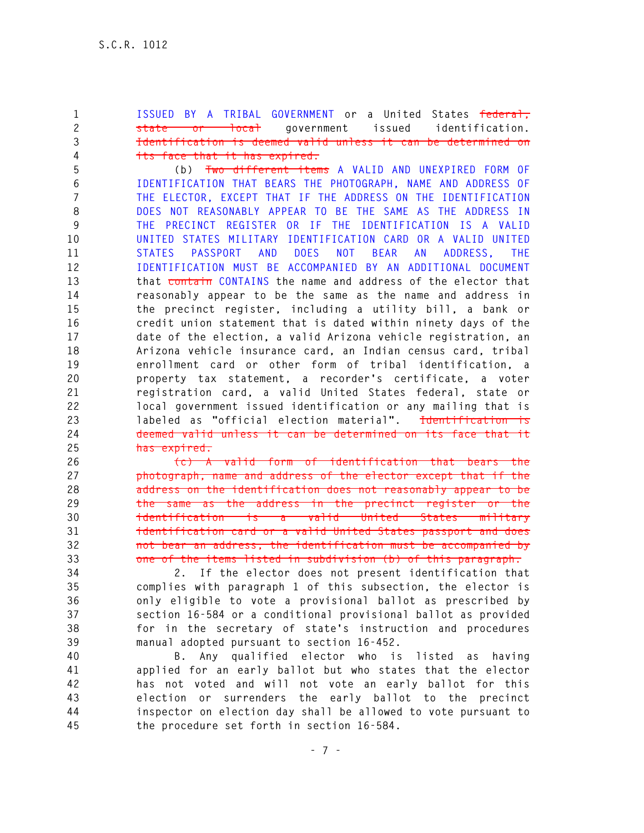**1 ISSUED BY A TRIBAL GOVERNMENT or a United States federal, 2 state or local government issued identification. 3 Identification is deemed valid unless it can be determined on 4 its face that it has expired.**

**5 (b) Two different items A VALID AND UNEXPIRED FORM OF 6 IDENTIFICATION THAT BEARS THE PHOTOGRAPH, NAME AND ADDRESS OF 7 THE ELECTOR, EXCEPT THAT IF THE ADDRESS ON THE IDENTIFICATION 8 DOES NOT REASONABLY APPEAR TO BE THE SAME AS THE ADDRESS IN 9 THE PRECINCT REGISTER OR IF THE IDENTIFICATION IS A VALID 10 UNITED STATES MILITARY IDENTIFICATION CARD OR A VALID UNITED 11 STATES PASSPORT AND DOES NOT BEAR AN ADDRESS, THE 12 IDENTIFICATION MUST BE ACCOMPANIED BY AN ADDITIONAL DOCUMENT 13 that contain CONTAINS the name and address of the elector that 14 reasonably appear to be the same as the name and address in 15 the precinct register, including a utility bill, a bank or 16 credit union statement that is dated within ninety days of the 17 date of the election, a valid Arizona vehicle registration, an 18 Arizona vehicle insurance card, an Indian census card, tribal 19 enrollment card or other form of tribal identification, a 20 property tax statement, a recorder's certificate, a voter 21 registration card, a valid United States federal, state or 22 local government issued identification or any mailing that is 23 labeled as "official election material". Identification is 24 deemed valid unless it can be determined on its face that it 25 has expired.**

**26 (c) A valid form of identification that bears the 27 photograph, name and address of the elector except that if the 28 address on the identification does not reasonably appear to be 29 the same as the address in the precinct register or the 30 identification is a valid United States military 31 identification card or a valid United States passport and does 32 not bear an address, the identification must be accompanied by 33 one of the items listed in subdivision (b) of this paragraph.** 

**34 2. If the elector does not present identification that 35 complies with paragraph 1 of this subsection, the elector is 36 only eligible to vote a provisional ballot as prescribed by 37 section 16-584 or a conditional provisional ballot as provided 38 for in the secretary of state's instruction and procedures 39 manual adopted pursuant to section 16-452.** 

**40 B. Any qualified elector who is listed as having 41 applied for an early ballot but who states that the elector 42 has not voted and will not vote an early ballot for this 43 election or surrenders the early ballot to the precinct 44 inspector on election day shall be allowed to vote pursuant to 45 the procedure set forth in section 16-584.**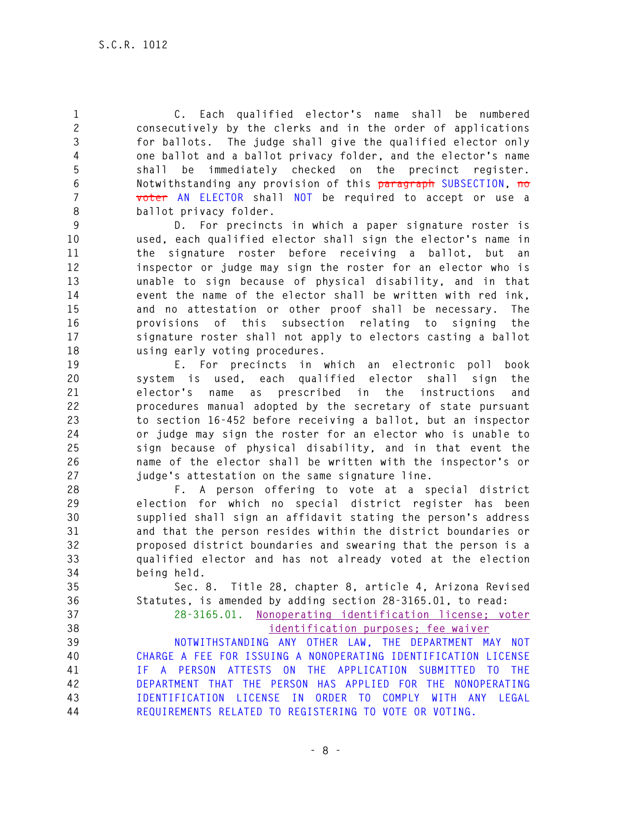**1 C. Each qualified elector's name shall be numbered 2 consecutively by the clerks and in the order of applications 3 for ballots. The judge shall give the qualified elector only 4 one ballot and a ballot privacy folder, and the elector's name 5 shall be immediately checked on the precinct register. 6 Notwithstanding any provision of this paragraph SUBSECTION, no 7 voter AN ELECTOR shall NOT be required to accept or use a 8 ballot privacy folder.** 

**9 D. For precincts in which a paper signature roster is 10 used, each qualified elector shall sign the elector's name in 11 the signature roster before receiving a ballot, but an 12 inspector or judge may sign the roster for an elector who is 13 unable to sign because of physical disability, and in that 14 event the name of the elector shall be written with red ink, 15 and no attestation or other proof shall be necessary. The 16 provisions of this subsection relating to signing the 17 signature roster shall not apply to electors casting a ballot 18 using early voting procedures.** 

**19 E. For precincts in which an electronic poll book 20 system is used, each qualified elector shall sign the 21 elector's name as prescribed in the instructions and 22 procedures manual adopted by the secretary of state pursuant 23 to section 16-452 before receiving a ballot, but an inspector 24 or judge may sign the roster for an elector who is unable to 25 sign because of physical disability, and in that event the 26 name of the elector shall be written with the inspector's or 27 judge's attestation on the same signature line.** 

**28 F. A person offering to vote at a special district 29 election for which no special district register has been 30 supplied shall sign an affidavit stating the person's address 31 and that the person resides within the district boundaries or 32 proposed district boundaries and swearing that the person is a 33 qualified elector and has not already voted at the election 34 being held.** 

**35 Sec. 8. Title 28, chapter 8, article 4, Arizona Revised 36 Statutes, is amended by adding section 28-3165.01, to read:** 

**37 28-3165.01. Nonoperating identification license; voter 38 identification purposes; fee waiver** 

**39 NOTWITHSTANDING ANY OTHER LAW, THE DEPARTMENT MAY NOT 40 CHARGE A FEE FOR ISSUING A NONOPERATING IDENTIFICATION LICENSE 41 IF A PERSON ATTESTS ON THE APPLICATION SUBMITTED TO THE 42 DEPARTMENT THAT THE PERSON HAS APPLIED FOR THE NONOPERATING 43 IDENTIFICATION LICENSE IN ORDER TO COMPLY WITH ANY LEGAL 44 REQUIREMENTS RELATED TO REGISTERING TO VOTE OR VOTING.**